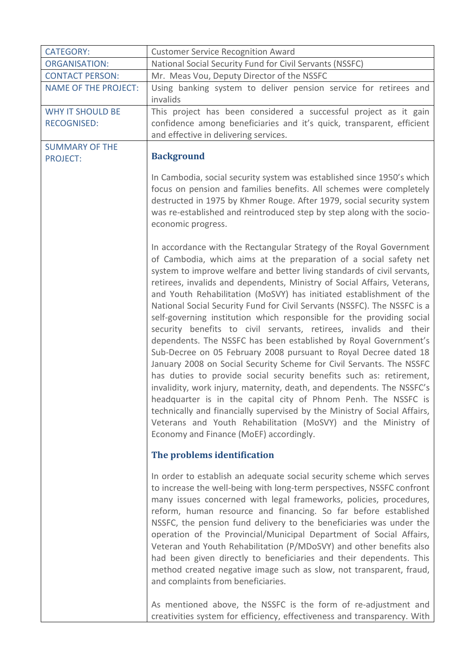| <b>CATEGORY:</b>                         | <b>Customer Service Recognition Award</b>                                                                                                                                                                                                                                                                                                                                                                                                                                                                                                                                                                                                                                                                                                                                                                                                                                                                                                                                                                                                                                                                                                                                                                                     |
|------------------------------------------|-------------------------------------------------------------------------------------------------------------------------------------------------------------------------------------------------------------------------------------------------------------------------------------------------------------------------------------------------------------------------------------------------------------------------------------------------------------------------------------------------------------------------------------------------------------------------------------------------------------------------------------------------------------------------------------------------------------------------------------------------------------------------------------------------------------------------------------------------------------------------------------------------------------------------------------------------------------------------------------------------------------------------------------------------------------------------------------------------------------------------------------------------------------------------------------------------------------------------------|
| <b>ORGANISATION:</b>                     | National Social Security Fund for Civil Servants (NSSFC)                                                                                                                                                                                                                                                                                                                                                                                                                                                                                                                                                                                                                                                                                                                                                                                                                                                                                                                                                                                                                                                                                                                                                                      |
| <b>CONTACT PERSON:</b>                   | Mr. Meas Vou, Deputy Director of the NSSFC                                                                                                                                                                                                                                                                                                                                                                                                                                                                                                                                                                                                                                                                                                                                                                                                                                                                                                                                                                                                                                                                                                                                                                                    |
| <b>NAME OF THE PROJECT:</b>              | Using banking system to deliver pension service for retirees and                                                                                                                                                                                                                                                                                                                                                                                                                                                                                                                                                                                                                                                                                                                                                                                                                                                                                                                                                                                                                                                                                                                                                              |
|                                          | invalids                                                                                                                                                                                                                                                                                                                                                                                                                                                                                                                                                                                                                                                                                                                                                                                                                                                                                                                                                                                                                                                                                                                                                                                                                      |
| <b>WHY IT SHOULD BE</b>                  | This project has been considered a successful project as it gain                                                                                                                                                                                                                                                                                                                                                                                                                                                                                                                                                                                                                                                                                                                                                                                                                                                                                                                                                                                                                                                                                                                                                              |
| <b>RECOGNISED:</b>                       | confidence among beneficiaries and it's quick, transparent, efficient                                                                                                                                                                                                                                                                                                                                                                                                                                                                                                                                                                                                                                                                                                                                                                                                                                                                                                                                                                                                                                                                                                                                                         |
|                                          | and effective in delivering services.                                                                                                                                                                                                                                                                                                                                                                                                                                                                                                                                                                                                                                                                                                                                                                                                                                                                                                                                                                                                                                                                                                                                                                                         |
| <b>SUMMARY OF THE</b><br><b>PROJECT:</b> | <b>Background</b>                                                                                                                                                                                                                                                                                                                                                                                                                                                                                                                                                                                                                                                                                                                                                                                                                                                                                                                                                                                                                                                                                                                                                                                                             |
|                                          | In Cambodia, social security system was established since 1950's which<br>focus on pension and families benefits. All schemes were completely<br>destructed in 1975 by Khmer Rouge. After 1979, social security system<br>was re-established and reintroduced step by step along with the socio-<br>economic progress.                                                                                                                                                                                                                                                                                                                                                                                                                                                                                                                                                                                                                                                                                                                                                                                                                                                                                                        |
|                                          | In accordance with the Rectangular Strategy of the Royal Government<br>of Cambodia, which aims at the preparation of a social safety net<br>system to improve welfare and better living standards of civil servants,<br>retirees, invalids and dependents, Ministry of Social Affairs, Veterans,<br>and Youth Rehabilitation (MoSVY) has initiated establishment of the<br>National Social Security Fund for Civil Servants (NSSFC). The NSSFC is a<br>self-governing institution which responsible for the providing social<br>security benefits to civil servants, retirees, invalids and their<br>dependents. The NSSFC has been established by Royal Government's<br>Sub-Decree on 05 February 2008 pursuant to Royal Decree dated 18<br>January 2008 on Social Security Scheme for Civil Servants. The NSSFC<br>has duties to provide social security benefits such as: retirement,<br>invalidity, work injury, maternity, death, and dependents. The NSSFC's<br>headquarter is in the capital city of Phnom Penh. The NSSFC is<br>technically and financially supervised by the Ministry of Social Affairs,<br>Veterans and Youth Rehabilitation (MoSVY) and the Ministry of<br>Economy and Finance (MoEF) accordingly. |
|                                          | The problems identification                                                                                                                                                                                                                                                                                                                                                                                                                                                                                                                                                                                                                                                                                                                                                                                                                                                                                                                                                                                                                                                                                                                                                                                                   |
|                                          | In order to establish an adequate social security scheme which serves<br>to increase the well-being with long-term perspectives, NSSFC confront<br>many issues concerned with legal frameworks, policies, procedures,<br>reform, human resource and financing. So far before established<br>NSSFC, the pension fund delivery to the beneficiaries was under the<br>operation of the Provincial/Municipal Department of Social Affairs,<br>Veteran and Youth Rehabilitation (P/MDoSVY) and other benefits also<br>had been given directly to beneficiaries and their dependents. This<br>method created negative image such as slow, not transparent, fraud,<br>and complaints from beneficiaries.                                                                                                                                                                                                                                                                                                                                                                                                                                                                                                                             |
|                                          | As mentioned above, the NSSFC is the form of re-adjustment and<br>creativities system for efficiency, effectiveness and transparency. With                                                                                                                                                                                                                                                                                                                                                                                                                                                                                                                                                                                                                                                                                                                                                                                                                                                                                                                                                                                                                                                                                    |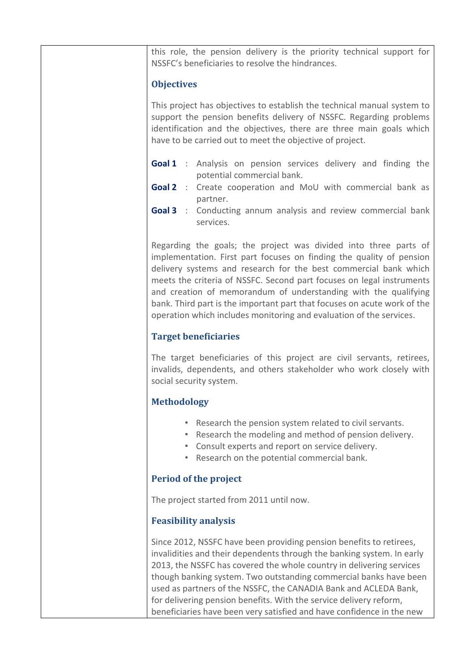this role, the pension delivery is the priority technical support for NSSFC's beneficiaries to resolve the hindrances.

### **Objectives**

This project has objectives to establish the technical manual system to support the pension benefits delivery of NSSFC. Regarding problems identification and the objectives, there are three main goals which have to be carried out to meet the objective of project.

- **Goal 1** : Analysis on pension services delivery and finding the potential commercial bank.
- **Goal 2** : Create cooperation and MoU with commercial bank as partner.
- **Goal 3** : Conducting annum analysis and review commercial bank services.

Regarding the goals; the project was divided into three parts of implementation. First part focuses on finding the quality of pension delivery systems and research for the best commercial bank which meets the criteria of NSSFC. Second part focuses on legal instruments and creation of memorandum of understanding with the qualifying bank. Third part is the important part that focuses on acute work of the operation which includes monitoring and evaluation of the services.

### **Target beneficiaries**

The target beneficiaries of this project are civil servants, retirees, invalids, dependents, and others stakeholder who work closely with social security system.

# **Methodology**

- Research the pension system related to civil servants.
- Research the modeling and method of pension delivery.
- Consult experts and report on service delivery.
- Research on the potential commercial bank.

# **Period of the project**

The project started from 2011 until now.

# **Feasibility analysis**

Since 2012, NSSFC have been providing pension benefits to retirees, invalidities and their dependents through the banking system. In early 2013, the NSSFC has covered the whole country in delivering services though banking system. Two outstanding commercial banks have been used as partners of the NSSFC, the CANADIA Bank and ACLEDA Bank, for delivering pension benefits. With the service delivery reform, beneficiaries have been very satisfied and have confidence in the new